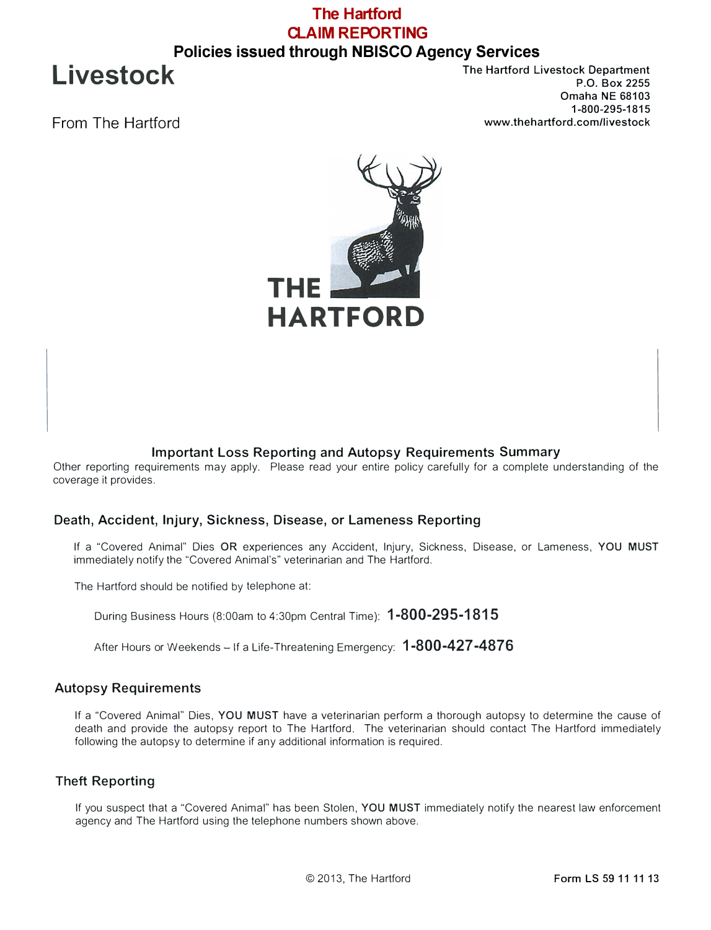## **The Hartford CLAIM REPORTING Policies issued through NBISCO Agency Services**

**Livestock** 

From The Hartford

The Hartford Livestock Department P.O. Box 2255 Omaha NE 68103 1-800-295-1815 www.thehartford.com/livestock



### **Important Loss Reporting and Autopsy Requirements Summary**

Other reporting requirements may apply. Please read your entire policy carefully for a complete understanding of the coverage it provides.

#### **Death, Accident, Injury, Sickness, Disease, or Lameness Reporting**

If a "Covered Animal" Dies **OR** experiences any Accident, Injury, Sickness, Disease, or Lameness, **YOU MUST** immediately notify the "Covered Animal's" veterinarian and The Hartford.

The Hartford should be notified by telephone at:

During Business Hours (8:00am to 4:30pm Central Time): **1-800-295-1815** 

After Hours or Weekends - If a Life-Threatening Emergency: **1-800-427-4876** 

#### **Autopsy Requirements**

If a "Covered Animal" Dies, **YOU MUST** have a veterinarian perform a thorough autopsy to determine the cause of death and provide the autopsy report to The Hartford. The veterinarian should contact The Hartford immediately following the autopsy to determine if any additional information is required.

#### **Theft Reporting**

If you suspect that a "Covered Animal" has been Stolen, **YOU MUST** immediately notify the nearest law enforcement agency and The Hartford using the telephone numbers shown above.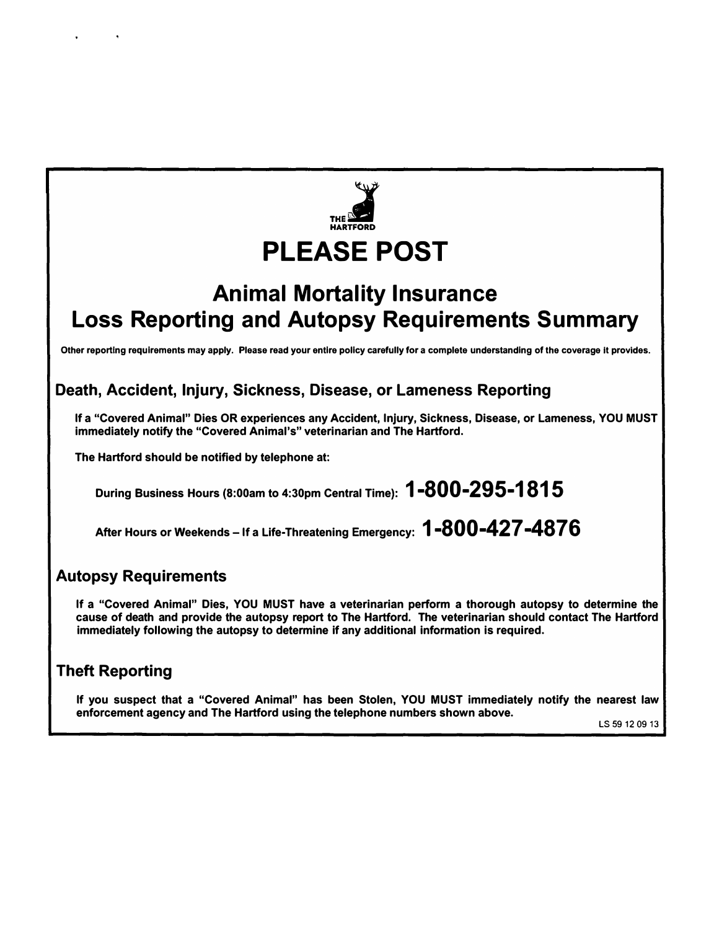

# **Animal Mortality Insurance Loss Reporting and Autopsy Requirements Summary**

**Other reporting requirements may apply. Please read your entire policy carefully for a complete understanding of the coverage It provides.** 

# **Death, Accident, Injury, Sickness, Disease, or Lameness Reporting**

**If a "Covered Animal" Dies OR experiences any Accident, Injury, Sickness, Disease, or Lameness, YOU MUST immediately notify the "Covered Animal's" veterinarian and The Hartford.** 

**The Hartford should be notified by telephone at:** 

**During Business Hours (8:00am to 4:30pm Central Time): 1-800-295-1815** 

**After Hours or Weekends - If a Life-Threatening Emergency: 1-800-427 -4876** 

# **Autopsy Requirements**

**If a "Covered Animal" Dies, YOU MUST have a veterinarian perform a thorough autopsy to determine the cause of death and provide the autopsy report to The Hartford. The veterinarian should contact The Hartford immediately following the autopsy to determine if any additional information is required.** 

# **Theft Reporting**

**If you suspect that a "Covered Animal" has been Stolen, YOU MUST immediately notify the nearest law enforcement agency and The Hartford using the telephone numbers shown above.** 

LS 59 12 09 13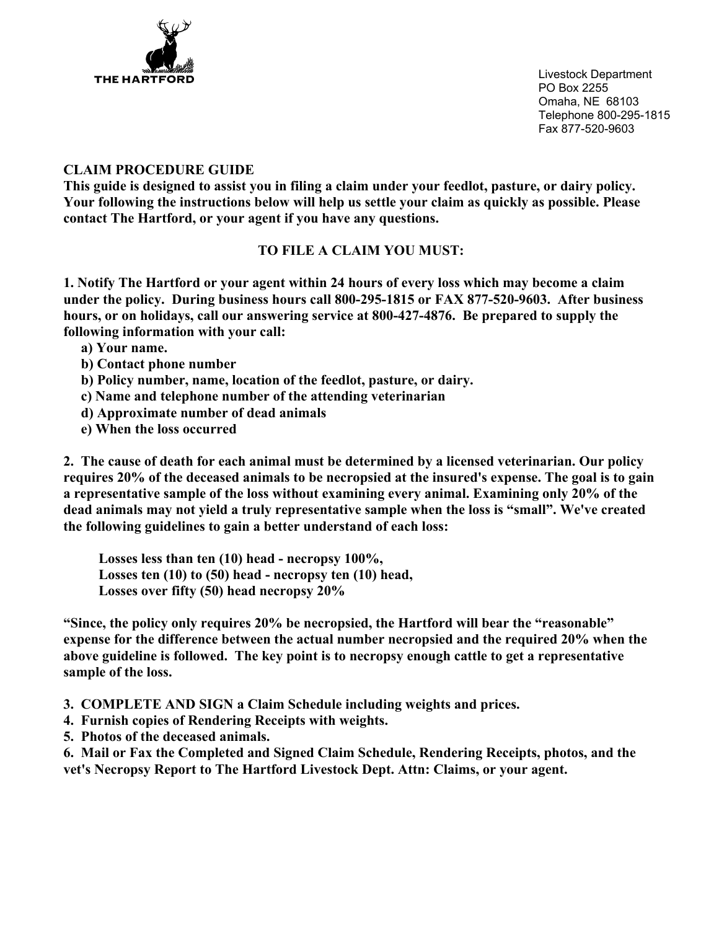

Livestock Department PO Box 2255 Omaha, NE 68103 Telephone 800-295-1815 Fax 877-520-9603

### **CLAIM PROCEDURE GUIDE**

**This guide is designed to assist you in filing a claim under your feedlot, pasture, or dairy policy. Your following the instructions below will help us settle your claim as quickly as possible. Please contact The Hartford, or your agent if you have any questions.** 

### **TO FILE A CLAIM YOU MUST:**

**1. Notify The Hartford or your agent within 24 hours of every loss which may become a claim under the policy. During business hours call 800-295-1815 or FAX 877-520-9603. After business hours, or on holidays, call our answering service at 800-427-4876. Be prepared to supply the following information with your call:**

- **a) Your name.**
- **b) Contact phone number**
- **b) Policy number, name, location of the feedlot, pasture, or dairy.**
- **c) Name and telephone number of the attending veterinarian**
- **d) Approximate number of dead animals**
- **e) When the loss occurred**

**2. The cause of death for each animal must be determined by a licensed veterinarian. Our policy requires 20% of the deceased animals to be necropsied at the insured's expense. The goal is to gain a representative sample of the loss without examining every animal. Examining only 20% of the dead animals may not yield a truly representative sample when the loss is "small". We've created the following guidelines to gain a better understand of each loss:**

 **Losses less than ten (10) head - necropsy 100%, Losses ten (10) to (50) head - necropsy ten (10) head, Losses over fifty (50) head necropsy 20%** 

**"Since, the policy only requires 20% be necropsied, the Hartford will bear the "reasonable" expense for the difference between the actual number necropsied and the required 20% when the above guideline is followed. The key point is to necropsy enough cattle to get a representative sample of the loss.** 

- **3. COMPLETE AND SIGN a Claim Schedule including weights and prices.**
- **4. Furnish copies of Rendering Receipts with weights.**
- **5. Photos of the deceased animals.**

**6. Mail or Fax the Completed and Signed Claim Schedule, Rendering Receipts, photos, and the vet's Necropsy Report to The Hartford Livestock Dept. Attn: Claims, or your agent.**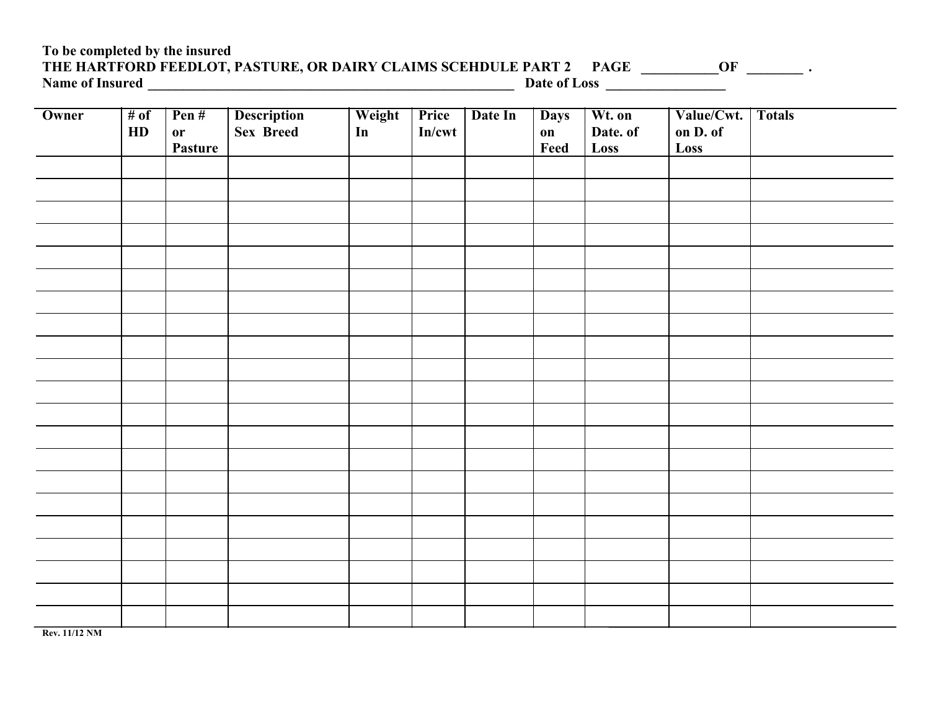### **To be completed by the insured** THE HARTFORD FEEDLOT, PASTURE, OR DAIRY CLAIMS SCEHDULE PART 2 PAGE \_\_\_\_\_\_\_\_\_\_OF \_\_\_\_\_\_\_\_\_\_\_ . **Name of Insured \_\_\_\_\_\_\_\_\_\_\_\_\_\_\_\_\_\_\_\_\_\_\_\_\_\_\_\_\_\_\_\_\_\_\_\_\_\_\_\_\_\_\_\_\_\_\_\_\_\_\_\_ Date of Loss \_\_\_\_\_\_\_\_\_\_\_\_\_\_\_\_\_**

| Owner | # of<br>HD | Pen#<br><b>or</b><br>Pasture | <b>Description</b><br>Sex Breed | Weight<br>In | Price<br>In/cwt | Date In | <b>Days</b><br>$\mathbf{on}$<br>Feed | Wt. on<br>Date. of<br>Loss | Value/Cwt. Totals<br>on D. of<br>Loss |  |
|-------|------------|------------------------------|---------------------------------|--------------|-----------------|---------|--------------------------------------|----------------------------|---------------------------------------|--|
|       |            |                              |                                 |              |                 |         |                                      |                            |                                       |  |
|       |            |                              |                                 |              |                 |         |                                      |                            |                                       |  |
|       |            |                              |                                 |              |                 |         |                                      |                            |                                       |  |
|       |            |                              |                                 |              |                 |         |                                      |                            |                                       |  |
|       |            |                              |                                 |              |                 |         |                                      |                            |                                       |  |
|       |            |                              |                                 |              |                 |         |                                      |                            |                                       |  |
|       |            |                              |                                 |              |                 |         |                                      |                            |                                       |  |
|       |            |                              |                                 |              |                 |         |                                      |                            |                                       |  |
|       |            |                              |                                 |              |                 |         |                                      |                            |                                       |  |
|       |            |                              |                                 |              |                 |         |                                      |                            |                                       |  |
|       |            |                              |                                 |              |                 |         |                                      |                            |                                       |  |

**Rev. 11/12 NM**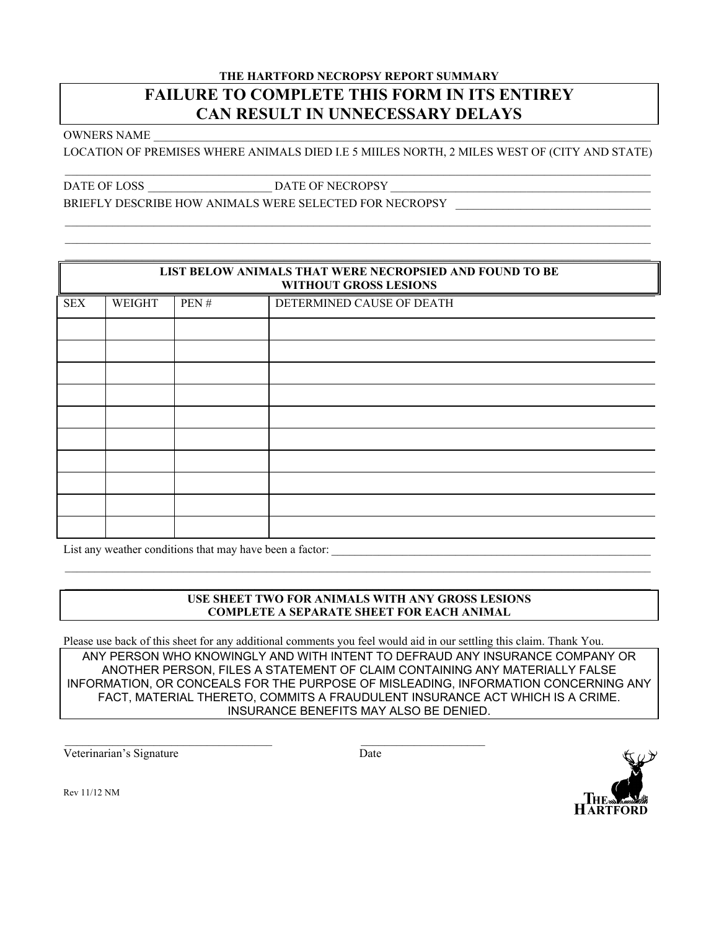### **THE HARTFORD NECROPSY REPORT SUMMARY FAILURE TO COMPLETE THIS FORM IN ITS ENTIREY CAN RESULT IN UNNECESSARY DELAYS**

OWNERS NAME \_\_\_\_\_\_\_\_\_\_\_\_\_\_\_\_\_\_\_\_\_\_\_\_\_\_\_\_\_\_\_\_\_\_\_\_\_\_\_\_\_\_\_\_\_\_\_\_\_\_\_\_\_\_\_\_\_\_\_\_\_\_\_\_\_\_\_\_\_\_\_\_\_\_\_\_\_\_\_\_\_\_\_\_

LOCATION OF PREMISES WHERE ANIMALS DIED I.E 5 MIILES NORTH, 2 MILES WEST OF (CITY AND STATE)

 $\mathcal{L}_\mathcal{L} = \mathcal{L}_\mathcal{L} = \mathcal{L}_\mathcal{L} = \mathcal{L}_\mathcal{L} = \mathcal{L}_\mathcal{L} = \mathcal{L}_\mathcal{L} = \mathcal{L}_\mathcal{L} = \mathcal{L}_\mathcal{L} = \mathcal{L}_\mathcal{L} = \mathcal{L}_\mathcal{L} = \mathcal{L}_\mathcal{L} = \mathcal{L}_\mathcal{L} = \mathcal{L}_\mathcal{L} = \mathcal{L}_\mathcal{L} = \mathcal{L}_\mathcal{L} = \mathcal{L}_\mathcal{L} = \mathcal{L}_\mathcal{L}$ 

DATE OF LOSS \_\_\_\_\_\_\_\_\_\_\_\_\_\_\_\_\_\_\_\_\_ DATE OF NECROPSY \_\_\_\_\_\_\_\_\_\_\_\_\_\_\_\_\_\_\_\_\_\_\_\_\_\_\_\_\_\_\_\_\_\_\_\_\_\_\_\_\_\_\_\_

BRIEFLY DESCRIBE HOW ANIMALS WERE SELECTED FOR NECROPSY

|            | LIST BELOW ANIMALS THAT WERE NECROPSIED AND FOUND TO BE |      |                           |  |  |  |
|------------|---------------------------------------------------------|------|---------------------------|--|--|--|
|            | <b>WITHOUT GROSS LESIONS</b>                            |      |                           |  |  |  |
| <b>SEX</b> | WEIGHT                                                  | PEN# | DETERMINED CAUSE OF DEATH |  |  |  |
|            |                                                         |      |                           |  |  |  |
|            |                                                         |      |                           |  |  |  |
|            |                                                         |      |                           |  |  |  |
|            |                                                         |      |                           |  |  |  |
|            |                                                         |      |                           |  |  |  |
|            |                                                         |      |                           |  |  |  |
|            |                                                         |      |                           |  |  |  |
|            |                                                         |      |                           |  |  |  |
|            |                                                         |      |                           |  |  |  |
|            |                                                         |      |                           |  |  |  |
|            |                                                         |      |                           |  |  |  |
|            |                                                         |      |                           |  |  |  |

List any weather conditions that may have been a factor: \_\_\_\_\_\_\_\_\_\_\_\_\_\_\_\_\_\_\_\_\_\_\_\_\_\_\_\_\_\_\_\_\_\_\_\_\_\_\_\_\_\_\_\_\_\_\_\_\_\_\_\_\_\_

#### **USE SHEET TWO FOR ANIMALS WITH ANY GROSS LESIONS COMPLETE A SEPARATE SHEET FOR EACH ANIMAL**

 $\mathcal{L}_\text{max}$ 

Please use back of this sheet for any additional comments you feel would aid in our settling this claim. Thank You. ANY PERSON WHO KNOWINGLY AND WITH INTENT TO DEFRAUD ANY INSURANCE COMPANY OR ANOTHER PERSON, FILES A STATEMENT OF CLAIM CONTAINING ANY MATERIALLY FALSE INFORMATION, OR CONCEALS FOR THE PURPOSE OF MISLEADING, INFORMATION CONCERNING ANY FACT, MATERIAL THERETO, COMMITS A FRAUDULENT INSURANCE ACT WHICH IS A CRIME. INSURANCE BENEFITS MAY ALSO BE DENIED.

Veterinarian's Signature Date



Rev 11/12 NM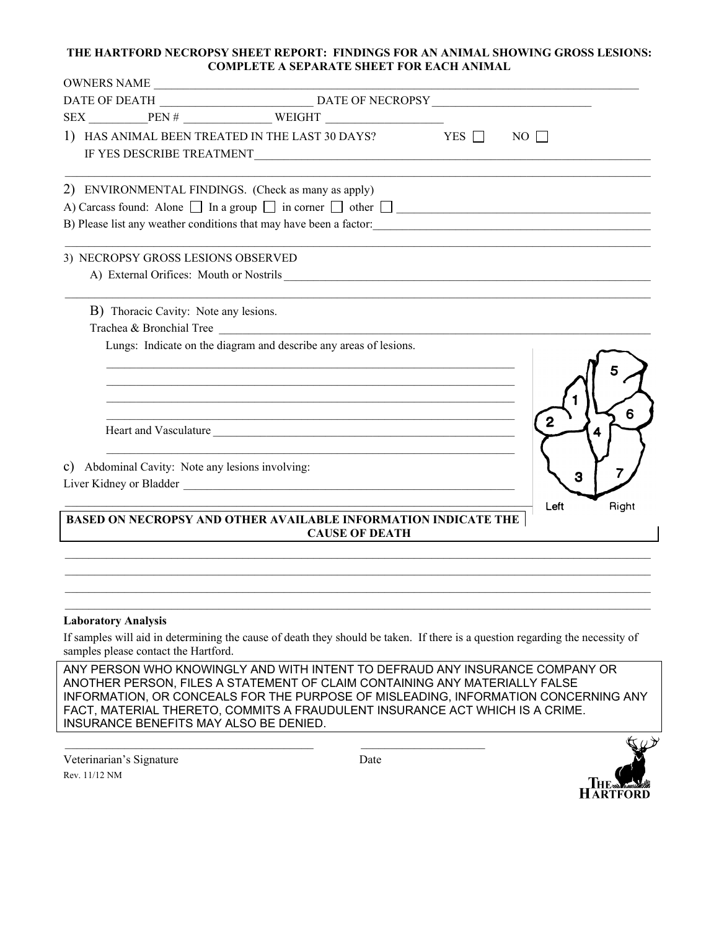#### **THE HARTFORD NECROPSY SHEET REPORT: FINDINGS FOR AN ANIMAL SHOWING GROSS LESIONS: COMPLETE A SEPARATE SHEET FOR EACH ANIMAL**

| OWNERS NAME                                      |                                                                                                                                                                                                                                             |                     |
|--------------------------------------------------|---------------------------------------------------------------------------------------------------------------------------------------------------------------------------------------------------------------------------------------------|---------------------|
|                                                  |                                                                                                                                                                                                                                             |                     |
|                                                  | $SEX$ PEN# WEIGHT                                                                                                                                                                                                                           |                     |
|                                                  | 1) HAS ANIMAL BEEN TREATED IN THE LAST 30 DAYS? YES $\Box$ NO $\Box$                                                                                                                                                                        |                     |
|                                                  | 2) ENVIRONMENTAL FINDINGS. (Check as many as apply)                                                                                                                                                                                         |                     |
|                                                  | A) Carcass found: Alone $\Box$ In a group $\Box$ in corner $\Box$ other $\Box$                                                                                                                                                              |                     |
|                                                  |                                                                                                                                                                                                                                             |                     |
| 3) NECROPSY GROSS LESIONS OBSERVED               |                                                                                                                                                                                                                                             |                     |
|                                                  |                                                                                                                                                                                                                                             |                     |
| B) Thoracic Cavity: Note any lesions.            |                                                                                                                                                                                                                                             |                     |
| Trachea & Bronchial Tree                         |                                                                                                                                                                                                                                             |                     |
|                                                  | <u> 1989 - Johann Harry Harry Harry Harry Harry Harry Harry Harry Harry Harry Harry Harry Harry Harry Harry Harry</u><br>the control of the control of the control of the control of the control of the control of<br>Heart and Vasculature | 6<br>$\overline{2}$ |
| c) Abdominal Cavity: Note any lesions involving: |                                                                                                                                                                                                                                             |                     |
|                                                  |                                                                                                                                                                                                                                             | 3                   |
|                                                  | <b>BASED ON NECROPSY AND OTHER AVAILABLE INFORMATION INDICATE THE</b><br><b>CAUSE OF DEATH</b>                                                                                                                                              | Right<br>Left       |
|                                                  |                                                                                                                                                                                                                                             |                     |
| <b>Laboratory Analysis</b>                       |                                                                                                                                                                                                                                             |                     |
| samples please contact the Hartford.             | If samples will aid in determining the cause of death they should be taken. If there is a question regarding the necessity of                                                                                                               |                     |

ANY PERSON WHO KNOWINGLY AND WITH INTENT TO DEFRAUD ANY INSURANCE COMPANY OR ANOTHER PERSON, FILES A STATEMENT OF CLAIM CONTAINING ANY MATERIALLY FALSE INFORMATION, OR CONCEALS FOR THE PURPOSE OF MISLEADING, INFORMATION CONCERNING ANY FACT, MATERIAL THERETO, COMMITS A FRAUDULENT INSURANCE ACT WHICH IS A CRIME. INSURANCE BENEFITS MAY ALSO BE DENIED.

Veterinarian's Signature Date Rev. 11/12 NM